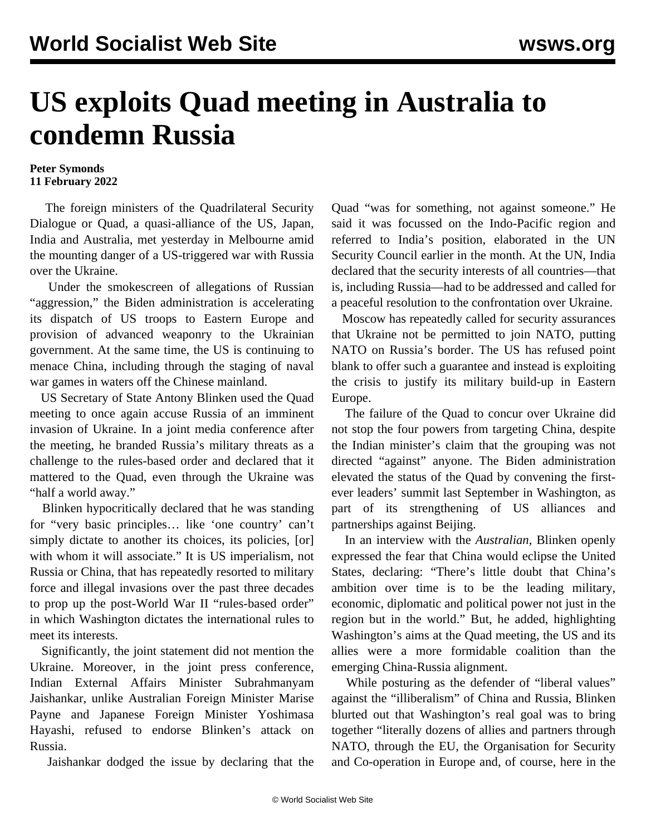## **US exploits Quad meeting in Australia to condemn Russia**

## **Peter Symonds 11 February 2022**

 The foreign ministers of the Quadrilateral Security Dialogue or Quad, a quasi-alliance of the US, Japan, India and Australia, met yesterday in Melbourne amid the mounting danger of a US-triggered war with Russia over the Ukraine.

 Under the smokescreen of allegations of Russian "aggression," the Biden administration is accelerating its dispatch of US troops to Eastern Europe and provision of advanced weaponry to the Ukrainian government. At the same time, the US is continuing to menace China, including through the staging of naval war games in waters off the Chinese mainland.

 US Secretary of State Antony Blinken used the Quad meeting to once again accuse Russia of an imminent invasion of Ukraine. In a joint media conference after the meeting, he branded Russia's military threats as a challenge to the rules-based order and declared that it mattered to the Quad, even through the Ukraine was "half a world away."

 Blinken hypocritically declared that he was standing for "very basic principles… like 'one country' can't simply dictate to another its choices, its policies, [or] with whom it will associate." It is US imperialism, not Russia or China, that has repeatedly resorted to military force and illegal invasions over the past three decades to prop up the post-World War II "rules-based order" in which Washington dictates the international rules to meet its interests.

 Significantly, the joint statement did not mention the Ukraine. Moreover, in the joint press conference, Indian External Affairs Minister Subrahmanyam Jaishankar, unlike Australian Foreign Minister Marise Payne and Japanese Foreign Minister Yoshimasa Hayashi, refused to endorse Blinken's attack on Russia.

Jaishankar dodged the issue by declaring that the

Quad "was for something, not against someone." He said it was focussed on the Indo-Pacific region and referred to India's position, elaborated in the UN Security Council earlier in the month. At the UN, India declared that the security interests of all countries—that is, including Russia—had to be addressed and called for a peaceful resolution to the confrontation over Ukraine.

 Moscow has repeatedly called for security assurances that Ukraine not be permitted to join NATO, putting NATO on Russia's border. The US has refused point blank to offer such a guarantee and instead is exploiting the crisis to justify its military build-up in Eastern Europe.

 The failure of the Quad to concur over Ukraine did not stop the four powers from targeting China, despite the Indian minister's claim that the grouping was not directed "against" anyone. The Biden administration elevated the status of the Quad by convening the firstever leaders' summit last September in Washington, as part of its strengthening of US alliances and partnerships against Beijing.

 In an interview with the *Australian*, Blinken openly expressed the fear that China would eclipse the United States, declaring: "There's little doubt that China's ambition over time is to be the leading military, economic, diplomatic and political power not just in the region but in the world." But, he added, highlighting Washington's aims at the Quad meeting, the US and its allies were a more formidable coalition than the emerging China-Russia alignment.

While posturing as the defender of "liberal values" against the "illiberalism" of China and Russia, Blinken blurted out that Washington's real goal was to bring together "literally dozens of allies and partners through NATO, through the EU, the Organisation for Security and Co-operation in Europe and, of course, here in the